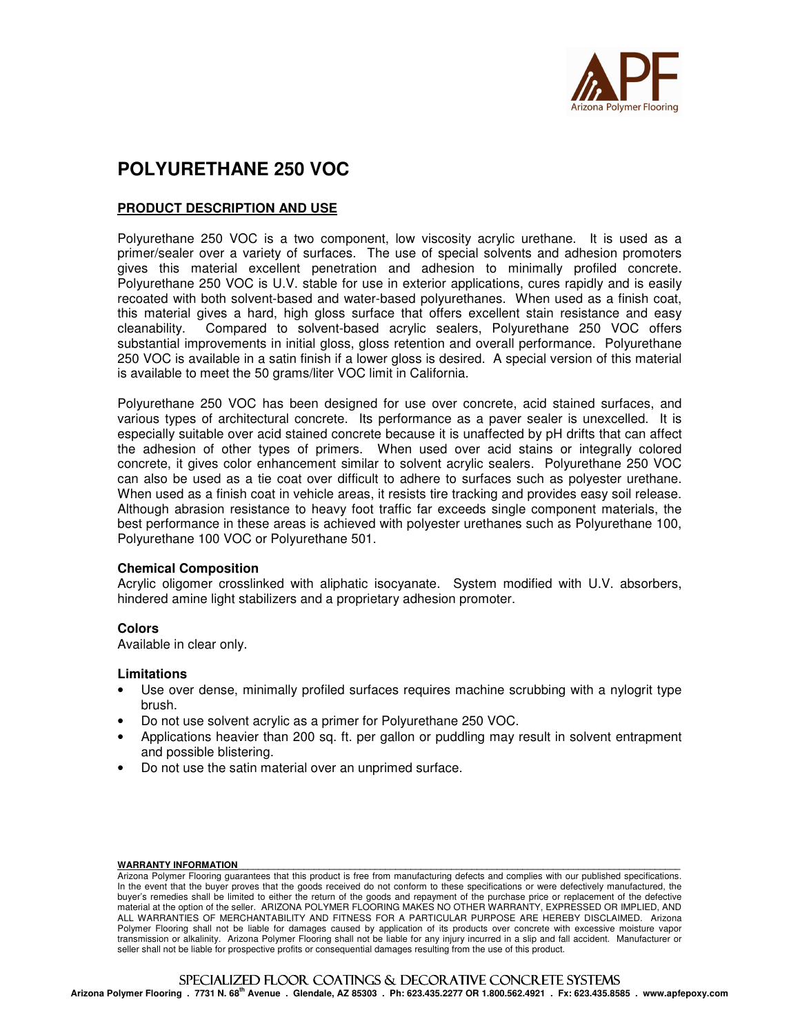

# **POLYURETHANE 250 VOC**

# **PRODUCT DESCRIPTION AND USE**

Polyurethane 250 VOC is a two component, low viscosity acrylic urethane. It is used as a primer/sealer over a variety of surfaces. The use of special solvents and adhesion promoters gives this material excellent penetration and adhesion to minimally profiled concrete. Polyurethane 250 VOC is U.V. stable for use in exterior applications, cures rapidly and is easily recoated with both solvent-based and water-based polyurethanes. When used as a finish coat, this material gives a hard, high gloss surface that offers excellent stain resistance and easy cleanability. Compared to solvent-based acrylic sealers, Polyurethane 250 VOC offers substantial improvements in initial gloss, gloss retention and overall performance. Polyurethane 250 VOC is available in a satin finish if a lower gloss is desired. A special version of this material is available to meet the 50 grams/liter VOC limit in California.

Polyurethane 250 VOC has been designed for use over concrete, acid stained surfaces, and various types of architectural concrete. Its performance as a paver sealer is unexcelled. It is especially suitable over acid stained concrete because it is unaffected by pH drifts that can affect the adhesion of other types of primers. When used over acid stains or integrally colored concrete, it gives color enhancement similar to solvent acrylic sealers. Polyurethane 250 VOC can also be used as a tie coat over difficult to adhere to surfaces such as polyester urethane. When used as a finish coat in vehicle areas, it resists tire tracking and provides easy soil release. Although abrasion resistance to heavy foot traffic far exceeds single component materials, the best performance in these areas is achieved with polyester urethanes such as Polyurethane 100, Polyurethane 100 VOC or Polyurethane 501.

#### **Chemical Composition**

Acrylic oligomer crosslinked with aliphatic isocyanate. System modified with U.V. absorbers, hindered amine light stabilizers and a proprietary adhesion promoter.

#### **Colors**

Available in clear only.

#### **Limitations**

- Use over dense, minimally profiled surfaces requires machine scrubbing with a nylogrit type brush.
- Do not use solvent acrylic as a primer for Polyurethane 250 VOC.
- Applications heavier than 200 sq. ft. per gallon or puddling may result in solvent entrapment and possible blistering.
- Do not use the satin material over an unprimed surface.

#### WARRANTY INFORMATION

**Arizona Polymer Flooring . 7731 N. 68th Avenue . Glendale, AZ 85303 . Ph: 623.435.2277 OR 1.800.562.4921 . Fx: 623.435.8585 . www.apfepoxy.com**

Arizona Polymer Flooring guarantees that this product is free from manufacturing defects and complies with our published specifications. In the event that the buyer proves that the goods received do not conform to these specifications or were defectively manufactured, the buyer's remedies shall be limited to either the return of the goods and repayment of the purchase price or replacement of the defective material at the option of the seller. ARIZONA POLYMER FLOORING MAKES NO OTHER WARRANTY, EXPRESSED OR IMPLIED, AND ALL WARRANTIES OF MERCHANTABILITY AND FITNESS FOR A PARTICULAR PURPOSE ARE HEREBY DISCLAIMED. Arizona Polymer Flooring shall not be liable for damages caused by application of its products over concrete with excessive moisture vapor transmission or alkalinity. Arizona Polymer Flooring shall not be liable for any injury incurred in a slip and fall accident. Manufacturer or seller shall not be liable for prospective profits or consequential damages resulting from the use of this product.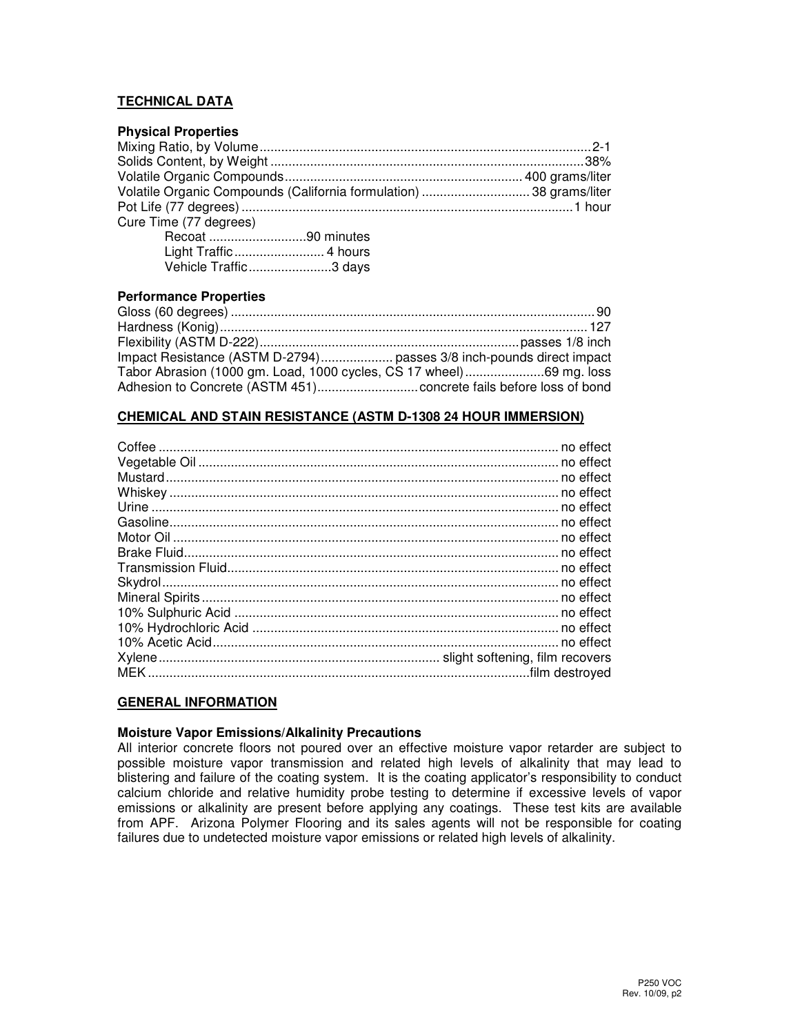# **TECHNICAL DATA**

# **Physical Properties**  Mixing Ratio, by Volume ............................................................................................ 2-1 Solids Content, by Weight ....................................................................................... 38% Volatile Organic Compounds .................................................................. 400 grams/liter Volatile Organic Compounds (California formulation) .............................. 38 grams/liter Pot Life (77 degrees) ............................................................................................ 1 hour Cure Time (77 degrees)

| Recoat 90 minutes     |
|-----------------------|
|                       |
| Vehicle Traffic3 days |

# **Performance Properties**

| Impact Resistance (ASTM D-2794) passes 3/8 inch-pounds direct impact |  |
|----------------------------------------------------------------------|--|
| Tabor Abrasion (1000 gm. Load, 1000 cycles, CS 17 wheel)69 mg. loss  |  |
|                                                                      |  |

### **CHEMICAL AND STAIN RESISTANCE (ASTM D-1308 24 HOUR IMMERSION)**

# **GENERAL INFORMATION**

### **Moisture Vapor Emissions/Alkalinity Precautions**

All interior concrete floors not poured over an effective moisture vapor retarder are subject to possible moisture vapor transmission and related high levels of alkalinity that may lead to blistering and failure of the coating system. It is the coating applicator's responsibility to conduct calcium chloride and relative humidity probe testing to determine if excessive levels of vapor emissions or alkalinity are present before applying any coatings. These test kits are available from APF. Arizona Polymer Flooring and its sales agents will not be responsible for coating failures due to undetected moisture vapor emissions or related high levels of alkalinity.